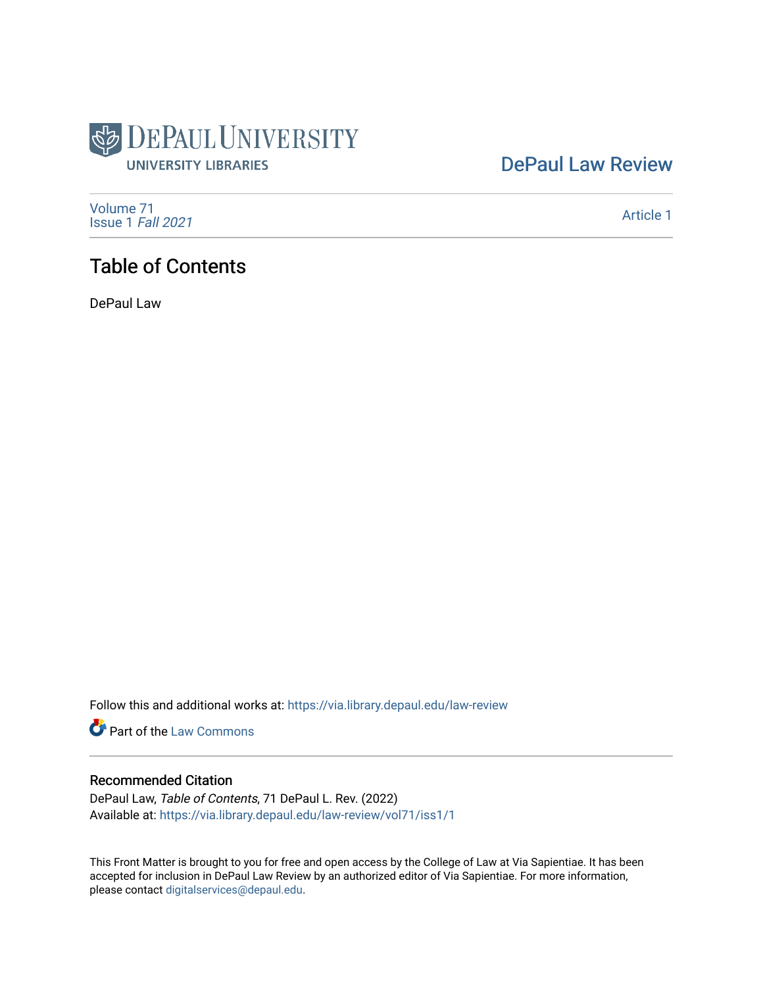

## [DePaul Law Review](https://via.library.depaul.edu/law-review)

[Volume 71](https://via.library.depaul.edu/law-review/vol71) [Issue 1](https://via.library.depaul.edu/law-review/vol71/iss1) Fall 2021

[Article 1](https://via.library.depaul.edu/law-review/vol71/iss1/1) 

## Table of Contents

DePaul Law

Follow this and additional works at: [https://via.library.depaul.edu/law-review](https://via.library.depaul.edu/law-review?utm_source=via.library.depaul.edu%2Flaw-review%2Fvol71%2Fiss1%2F1&utm_medium=PDF&utm_campaign=PDFCoverPages) 

Part of the [Law Commons](http://network.bepress.com/hgg/discipline/578?utm_source=via.library.depaul.edu%2Flaw-review%2Fvol71%2Fiss1%2F1&utm_medium=PDF&utm_campaign=PDFCoverPages)

### Recommended Citation

DePaul Law, Table of Contents, 71 DePaul L. Rev. (2022) Available at: [https://via.library.depaul.edu/law-review/vol71/iss1/1](https://via.library.depaul.edu/law-review/vol71/iss1/1?utm_source=via.library.depaul.edu%2Flaw-review%2Fvol71%2Fiss1%2F1&utm_medium=PDF&utm_campaign=PDFCoverPages) 

This Front Matter is brought to you for free and open access by the College of Law at Via Sapientiae. It has been accepted for inclusion in DePaul Law Review by an authorized editor of Via Sapientiae. For more information, please contact [digitalservices@depaul.edu.](mailto:digitalservices@depaul.edu)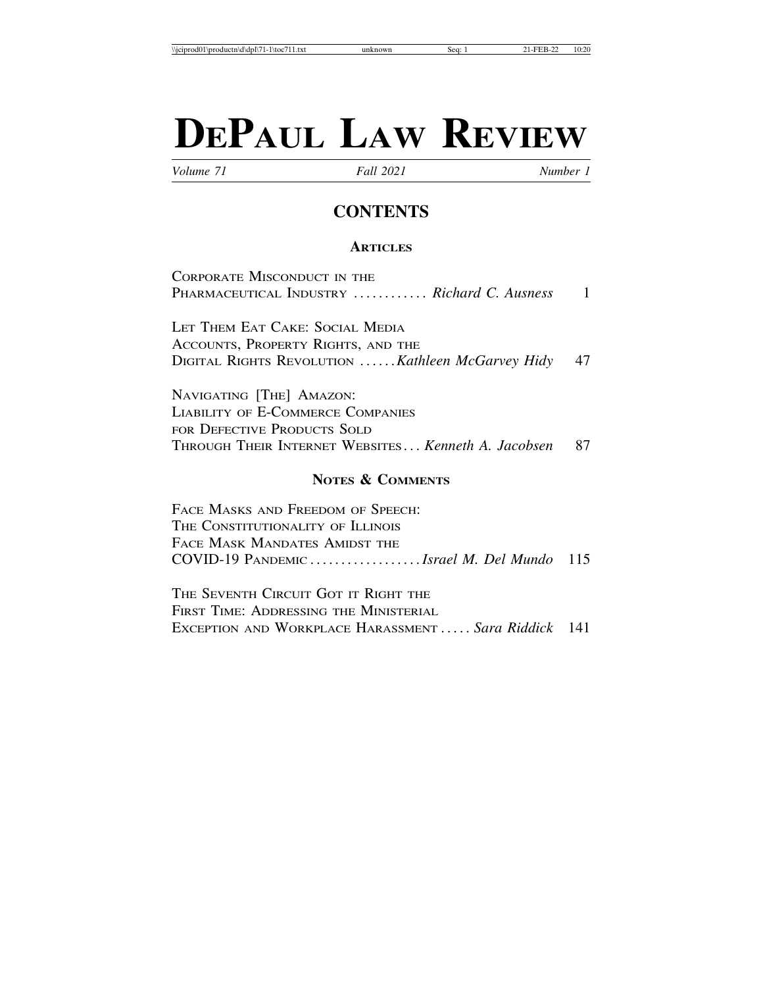# **DEPAUL LAW REVIEW**

*Volume 71 Fall 2021 Number 1*

## **CONTENTS**

#### **ARTICLES**

CORPORATE MISCONDUCT IN THE PHARMACEUTICAL INDUSTRY ........... *Richard C. Ausness* 1

LET THEM EAT CAKE: SOCIAL MEDIA ACCOUNTS, PROPERTY RIGHTS, AND THE DIGITAL RIGHTS REVOLUTION ......*Kathleen McGarvey Hidy* 47

NAVIGATING [THE] AMAZON: LIABILITY OF E-COMMERCE COMPANIES FOR DEFECTIVE PRODUCTS SOLD THROUGH THEIR INTERNET WEBSITES ... *Kenneth A. Jacobsen* 87

#### **NOTES & COMMENTS**

FACE MASKS AND FREEDOM OF SPEECH: THE CONSTITUTIONALITY OF ILLINOIS FACE MASK MANDATES AMIDST THE COVID-19 PANDEMIC .................. *Israel M. Del Mundo* 115

THE SEVENTH CIRCUIT GOT IT RIGHT THE FIRST TIME: ADDRESSING THE MINISTERIAL EXCEPTION AND WORKPLACE HARASSMENT ..... *Sara Riddick* 141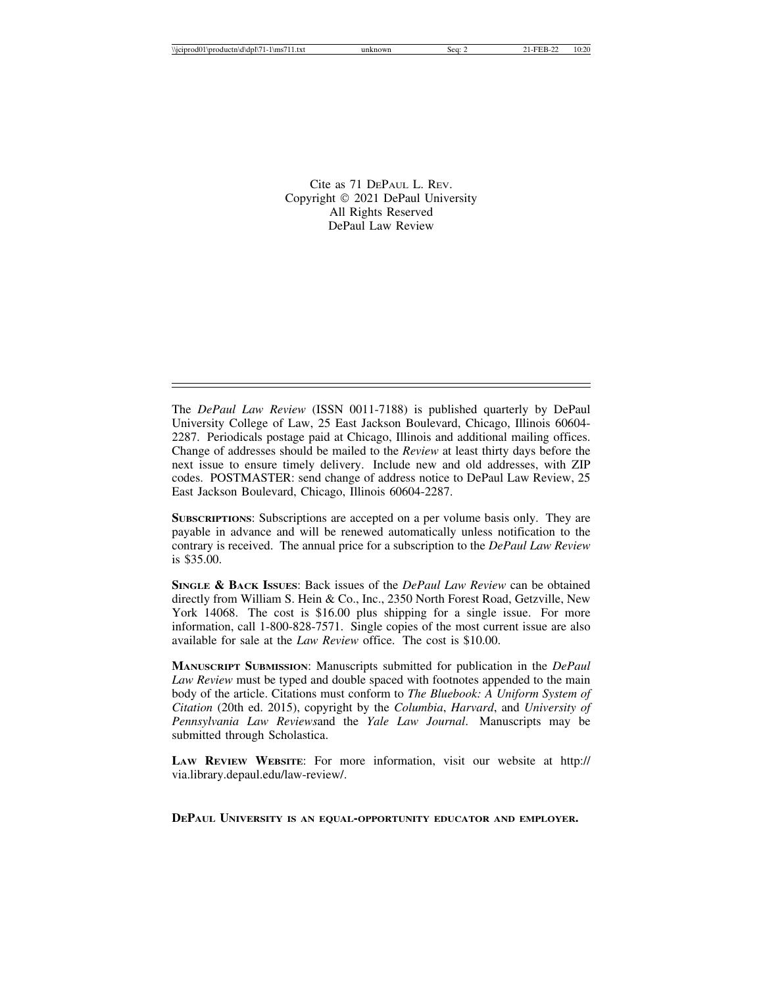Cite as 71 DEPAUL L. REV. Copyright © 2021 DePaul University All Rights Reserved DePaul Law Review

The *DePaul Law Review* (ISSN 0011-7188) is published quarterly by DePaul University College of Law, 25 East Jackson Boulevard, Chicago, Illinois 60604- 2287. Periodicals postage paid at Chicago, Illinois and additional mailing offices. Change of addresses should be mailed to the *Review* at least thirty days before the next issue to ensure timely delivery. Include new and old addresses, with ZIP codes. POSTMASTER: send change of address notice to DePaul Law Review, 25 East Jackson Boulevard, Chicago, Illinois 60604-2287.

**SUBSCRIPTIONS**: Subscriptions are accepted on a per volume basis only. They are payable in advance and will be renewed automatically unless notification to the contrary is received. The annual price for a subscription to the *DePaul Law Review* is \$35.00.

**SINGLE & BACK ISSUES**: Back issues of the *DePaul Law Review* can be obtained directly from William S. Hein & Co., Inc., 2350 North Forest Road, Getzville, New York 14068. The cost is \$16.00 plus shipping for a single issue. For more information, call 1-800-828-7571. Single copies of the most current issue are also available for sale at the *Law Review* office. The cost is \$10.00.

**MANUSCRIPT SUBMISSION**: Manuscripts submitted for publication in the *DePaul Law Review* must be typed and double spaced with footnotes appended to the main body of the article. Citations must conform to *The Bluebook: A Uniform System of Citation* (20th ed. 2015), copyright by the *Columbia*, *Harvard*, and *University of Pennsylvania Law Reviews*and the *Yale Law Journal*. Manuscripts may be submitted through Scholastica.

**LAW REVIEW WEBSITE**: For more information, visit our website at http:// via.library.depaul.edu/law-review/.

**DEPAUL UNIVERSITY IS AN EQUAL-OPPORTUNITY EDUCATOR AND EMPLOYER.**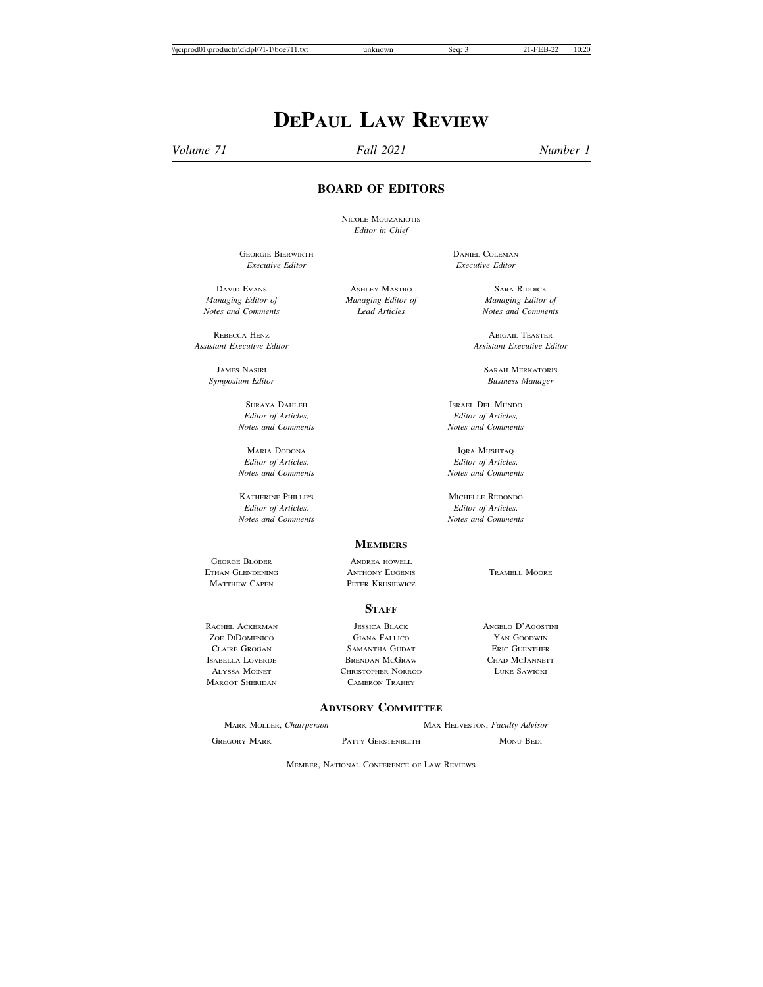## **DEPAUL LAW REVIEW**

*Volume 71 Fall 2021 Number 1*

#### **BOARD OF EDITORS**

NICOLE MOUZAKIOTIS *Editor in Chief*

GEORGIE BIERWIRTH DANIEL COLEMAN *Executive Editor Executive Editor*

*Managing Editor of Managing Editor of Managing Editor of*

REBECCA HENZ ABIGAIL TEASTER

*Editor of Articles, Editor of Articles,*

*Editor of Articles, Editor of Articles,*

KATHERINE PHILLIPS MICHELLE REDONDO *Editor of Articles, Editor of Articles*, *Notes and Comments Notes and Comments*

**MEMBERS** GEORGE BLODER ANDREA HOWELL

ETHAN GLENDENING ANTHONY EUGENIS TRAMELL MOORE **MATTHEW CAPEN 6 2008 PETER KRUSIEWICZ** 

#### **STAFF**

RACHEL ACKERMAN JESSICA BLACK ANGELO D'AGOSTINI<br>20 ZOE DIDOMENICO GIANA FALLICO ANNI D'AN GOODWIN ZOE DIDOMENICO GIANA FALLICO YAN GOODWIN CLAIRE GROGAN SAMANTHA GUDAT BAERIC GUENTHER<br>Isabella Loverde Brendan McGraw Chad McJannett BRENDAN MCGRAW ALYSSA MOINET CHRISTOPHER NORROD LUKE SAWICKI MARGOT SHERIDAN CAMERON TRAHEY

#### **ADVISORY COMMITTEE**

MARK MOLLER, *Chairperson* MAX HELVESTON, *Faculty Advisor*

GREGORY MARK PATTY GERSTENBLITH MONU BEDI

**DAVID EVANS ASHLEY MASTRO** SARA RIDDICK *Notes and Comments Lead Articles Notes and Comments*

*Assistant Executive Editor Assistant Executive Editor*

**JAMES NASIRI SARAH MERKATORIS** SARAH MERKATORIS *Symposium Editor Business Manager*

SURAYA DAHLEH ISRAEL DEL MUNDO *Notes and Comments Notes and Comments*

MARIA DODONA IQRA MUSHTAQ *Notes and Comments Notes and Comments*

*Editor of Articles, Editor of Articles,*

MEMBER, NATIONAL CONFERENCE OF LAW REVIEWS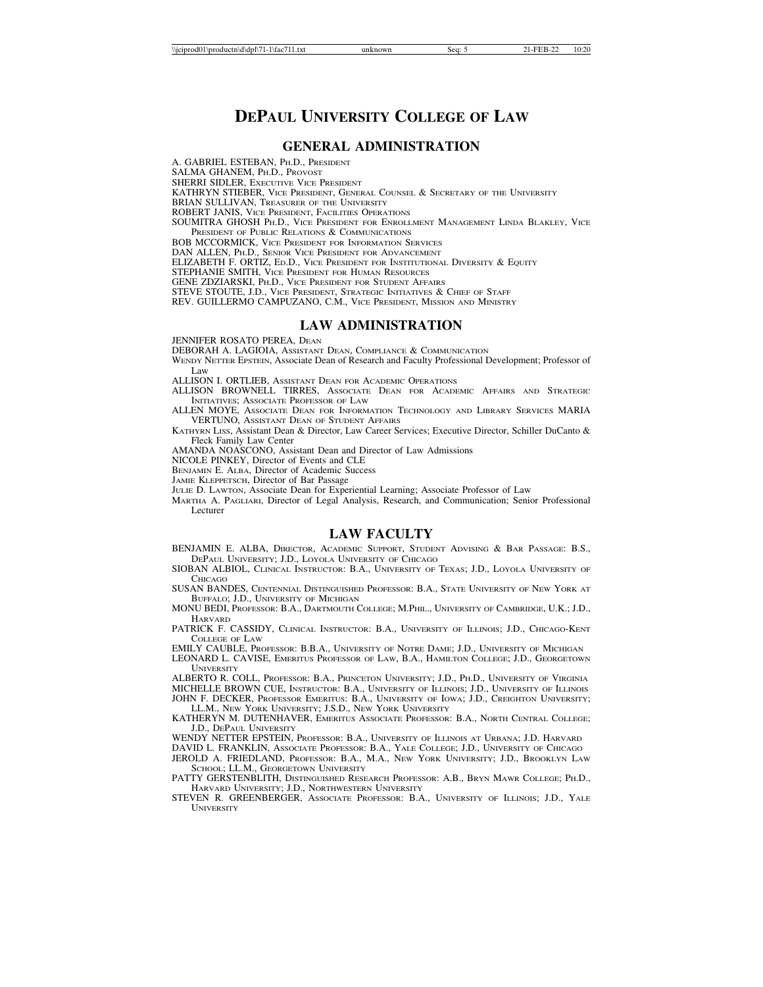### **DEPAUL UNIVERSITY COLLEGE OF LAW**

#### **GENERAL ADMINISTRATION**

A. GABRIEL ESTEBAN, PH.D., PRESIDENT

SALMA GHANEM, PH.D., PROVOST

SHERRI SIDLER, EXECUTIVE VICE PRESIDENT

KATHRYN STIEBER, VICE PRESIDENT, GENERAL COUNSEL & SECRETARY OF THE UNIVERSITY

BRIAN SULLIVAN, TREASURER OF THE UNIVERSITY

ROBERT JANIS, VICE PRESIDENT, FACILITIES OPERATIONS

SOUMITRA GHOSH PH.D., VICE PRESIDENT FOR ENROLLMENT MANAGEMENT LINDA BLAKLEY, VICE PRESIDENT OF PUBLIC RELATIONS & COMMUNICATIONS

BOB MCCORMICK, VICE PRESIDENT FOR INFORMATION SERVICES

DAN ALLEN, PH.D., SENIOR VICE PRESIDENT FOR ADVANCEMENT

ELIZABETH F. ORTIZ, ED.D., VICE PRESIDENT FOR INSTITUTIONAL DIVERSITY & EQUITY

STEPHANIE SMITH, VICE PRESIDENT FOR HUMAN RESOURCES

GENE ZDZIARSKI, PH.D., VICE PRESIDENT FOR STUDENT AFFAIRS

STEVE STOUTE, J.D., VICE PRESIDENT, STRATEGIC INITIATIVES & CHIEF OF STAFF

REV. GUILLERMO CAMPUZANO, C.M., VICE PRESIDENT, MISSION AND MINISTRY

#### **LAW ADMINISTRATION**

JENNIFER ROSATO PEREA, DEAN

DEBORAH A. LAGIOIA, ASSISTANT DEAN, COMPLIANCE & COMMUNICATION

WENDY NETTER EPSTEIN, Associate Dean of Research and Faculty Professional Development; Professor of Law

ALLISON I. ORTLIEB, ASSISTANT DEAN FOR ACADEMIC OPERATIONS

ALLISON BROWNELL TIRRES, ASSOCIATE DEAN FOR ACADEMIC AFFAIRS AND STRATEGIC INITIATIVES; ASSOCIATE PROFESSOR OF LAW

ALLEN MOYE, ASSOCIATE DEAN FOR INFORMATION TECHNOLOGY AND LIBRARY SERVICES MARIA VERTUNO, ASSISTANT DEAN OF STUDENT AFFAIRS

KATHYRN LISS, Assistant Dean & Director, Law Career Services; Executive Director, Schiller DuCanto & Fleck Family Law Center

AMANDA NOASCONO, Assistant Dean and Director of Law Admissions

NICOLE PINKEY, Director of Events and CLE

BENJAMIN E. ALBA, Director of Academic Success

JAMIE KLEPPETSCH, Director of Bar Passage

JULIE D. LAWTON, Associate Dean for Experiential Learning; Associate Professor of Law

MARTHA A. PAGLIARI, Director of Legal Analysis, Research, and Communication; Senior Professional Lecturer

#### **LAW FACULTY**

BENJAMIN E. ALBA, DIRECTOR, ACADEMIC SUPPORT, STUDENT ADVISING & BAR PASSAGE: B.S., DEPAUL UNIVERSITY; J.D., LOYOLA UNIVERSITY OF CHICAGO

SIOBAN ALBIOL, CLINICAL INSTRUCTOR: B.A., UNIVERSITY OF TEXAS; J.D., LOYOLA UNIVERSITY OF **CHICAGO** 

SUSAN BANDES, CENTENNIAL DISTINGUISHED PROFESSOR: B.A., STATE UNIVERSITY OF NEW YORK AT BUFFALO; J.D., UNIVERSITY OF MICHIGAN

MONU BEDI, PROFESSOR: B.A., DARTMOUTH COLLEGE; M.PHIL., UNIVERSITY OF CAMBRIDGE, U.K.; J.D., **HARVARD** 

PATRICK F. CASSIDY, CLINICAL INSTRUCTOR: B.A., UNIVERSITY OF ILLINOIS; J.D., CHICAGO-KENT COLLEGE OF LAW

EMILY CAUBLE, PROFESSOR: B.B.A., UNIVERSITY OF NOTRE DAME; J.D., UNIVERSITY OF MICHIGAN

LEONARD L. CAVISE, EMERITUS PROFESSOR OF LAW, B.A., HAMILTON COLLEGE; J.D., GEORGETOWN **UNIVERSITY** 

ALBERTO R. COLL, PROFESSOR: B.A., PRINCETON UNIVERSITY; J.D., PH.D., UNIVERSITY OF VIRGINIA MICHELLE BROWN CUE, INSTRUCTOR: B.A., UNIVERSITY OF ILLINOIS; J.D., UNIVERSITY OF ILLINOIS

JOHN F. DECKER, PROFESSOR EMERITUS: B.A., UNIVERSITY OF IOWA; J.D., CREIGHTON UNIVERSITY; LL.M., NEW YORK UNIVERSITY; J.S.D., NEW YORK UNIVERSITY

KATHERYN M. DUTENHAVER, EMERITUS ASSOCIATE PROFESSOR: B.A., NORTH CENTRAL COLLEGE; J.D., DEPAUL UNIVERSITY

WENDY NETTER EPSTEIN, PROFESSOR: B.A., UNIVERSITY OF ILLINOIS AT URBANA; J.D. HARVARD

DAVID L. FRANKLIN, ASSOCIATE PROFESSOR: B.A., YALE COLLEGE; J.D., UNIVERSITY OF CHICAGO

JEROLD A. FRIEDLAND, PROFESSOR: B.A., M.A., NEW YORK UNIVERSITY; J.D., BROOKLYN LAW SCHOOL; LL.M., GEORGETOWN UNIVERSITY

PATTY GERSTENBLITH, DISTINGUISHED RESEARCH PROFESSOR: A.B., BRYN MAWR COLLEGE; PH.D., HARVARD UNIVERSITY; J.D., NORTHWESTERN UNIVERSITY

STEVEN R. GREENBERGER, ASSOCIATE PROFESSOR: B.A., UNIVERSITY OF ILLINOIS; J.D., YALE **UNIVERSITY**